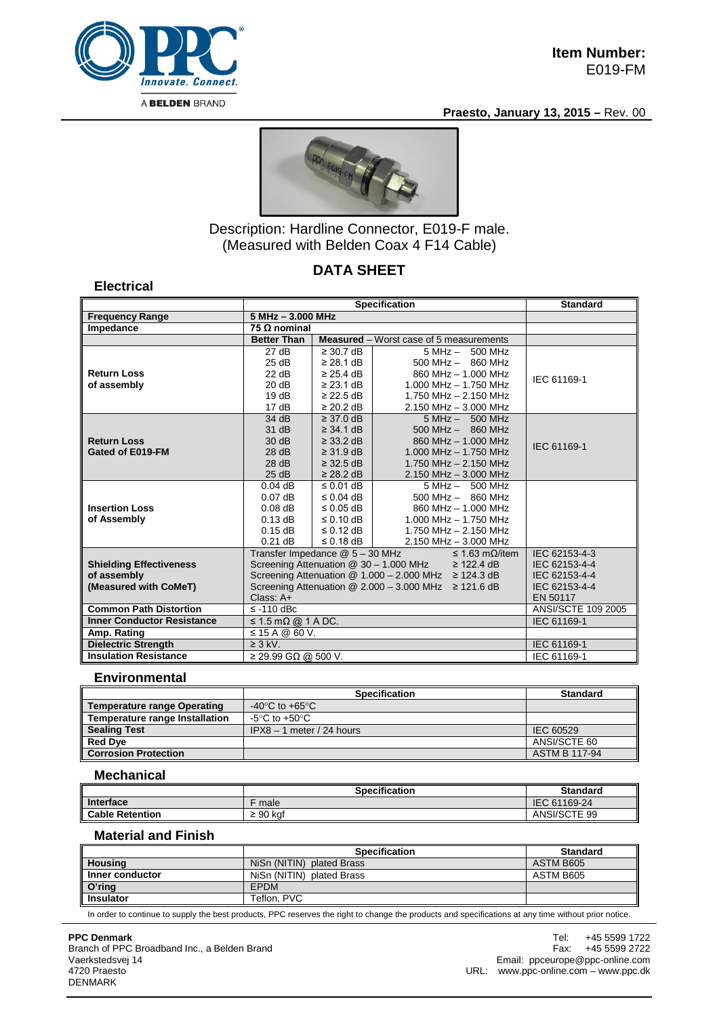

**Electrical**

### **Praesto, January 13, 2015 –** Rev. 00



Description: Hardline Connector, E019-F male. (Measured with Belden Coax 4 F14 Cable)

# **DATA SHEET**

|                                      | <b>Specification</b>                                                                                                         |                                   |                                                | <b>Standard</b> |  |
|--------------------------------------|------------------------------------------------------------------------------------------------------------------------------|-----------------------------------|------------------------------------------------|-----------------|--|
| <b>Frequency Range</b>               |                                                                                                                              | 5 MHz - 3.000 MHz                 |                                                |                 |  |
| Impedance                            | 75 $\Omega$ nominal                                                                                                          |                                   |                                                |                 |  |
|                                      | <b>Better Than</b>                                                                                                           |                                   | <b>Measured</b> – Worst case of 5 measurements |                 |  |
|                                      | 27 dB                                                                                                                        | $\geq$ 30.7 dB                    | 5 MHz - 500 MHz                                |                 |  |
|                                      | 25 dB                                                                                                                        | $\geq$ 28.1 dB                    | $500$ MHz $-$ 860 MHz                          |                 |  |
| <b>Return Loss</b>                   | 22 dB                                                                                                                        | $\geq$ 25.4 dB                    | 860 MHz - 1.000 MHz                            | IEC 61169-1     |  |
| of assembly                          | 20 dB                                                                                                                        | $\geq$ 23.1 dB                    | 1.000 MHz - 1.750 MHz                          |                 |  |
|                                      | 19dB                                                                                                                         | $\geq$ 22.5 dB                    | $1.750$ MHz $- 2.150$ MHz                      |                 |  |
|                                      | 17dB                                                                                                                         | $\geq$ 20.2 dB                    | 2.150 MHz - 3.000 MHz                          |                 |  |
|                                      | 34 dB                                                                                                                        | $\geq$ 37.0 dB                    | 5 MHz - 500 MHz                                |                 |  |
|                                      | 31 dB                                                                                                                        | $\geq$ 34.1 dB                    | $500$ MHz $-$ 860 MHz                          |                 |  |
| <b>Return Loss</b>                   | 30dB                                                                                                                         | $\geq$ 33.2 dB                    | 860 MHz - 1.000 MHz                            | IEC 61169-1     |  |
| Gated of E019-FM                     | 28 dB                                                                                                                        | $\geq$ 31.9 dB                    | 1.000 MHz $-$ 1.750 MHz                        |                 |  |
|                                      | 28 dB                                                                                                                        | $\geq$ 32.5 dB                    | 1.750 MHz $- 2.150$ MHz                        |                 |  |
|                                      | 25 dB                                                                                                                        | $\geq$ 28.2 dB                    | $2.150$ MHz $-$ 3.000 MHz                      |                 |  |
|                                      | $0.04$ dB                                                                                                                    | $\leq$ 0.01 dB                    | $5 MHz - 500 MHz$                              |                 |  |
|                                      | $0.07$ dB                                                                                                                    | $\leq$ 0.04 dB                    | $500$ MHz $-$ 860 MHz                          |                 |  |
| <b>Insertion Loss</b>                | $0.08$ dB                                                                                                                    | $\leq$ 0.05 dB                    | 860 MHz - 1.000 MHz                            |                 |  |
| of Assembly                          | $0.13$ dB                                                                                                                    | $\leq$ 0.10 dB                    | $1.000$ MHz $- 1.750$ MHz                      |                 |  |
|                                      | $0.15$ dB                                                                                                                    | $\leq$ 0.12 dB                    | 1.750 MHz $- 2.150$ MHz                        |                 |  |
|                                      | $0.21$ dB                                                                                                                    | $\leq$ 0.18 dB                    | $2.150$ MHz $- 3.000$ MHz                      |                 |  |
|                                      | Transfer Impedance @ 5 - 30 MHz<br>$\leq$ 1.63 m $\Omega$ /item<br>Screening Attenuation @ 30 - 1.000 MHz<br>$\geq$ 122.4 dB |                                   |                                                | IEC 62153-4-3   |  |
| <b>Shielding Effectiveness</b>       |                                                                                                                              | IEC 62153-4-4<br>IEC 62153-4-4    |                                                |                 |  |
| of assembly<br>(Measured with CoMeT) | Screening Attenuation @ 1.000 - 2.000 MHz ≥ 124.3 dB                                                                         | IEC 62153-4-4                     |                                                |                 |  |
|                                      | Screening Attenuation $@ 2.000 - 3.000$ MHz $\geq 121.6$ dB                                                                  | EN 50117                          |                                                |                 |  |
| <b>Common Path Distortion</b>        | $\leq$ -110 dBc                                                                                                              | Class: A+                         |                                                |                 |  |
| <b>Inner Conductor Resistance</b>    |                                                                                                                              | ANSI/SCTE 109 2005<br>IEC 61169-1 |                                                |                 |  |
|                                      | $\leq$ 1.5 m $\Omega$ @ 1 A DC.                                                                                              |                                   |                                                |                 |  |
| Amp. Rating                          | $\leq$ 15 A @ 60 V.                                                                                                          |                                   |                                                |                 |  |
| <b>Dielectric Strength</b>           | $\geq 3$ kV.                                                                                                                 |                                   |                                                | IEC 61169-1     |  |
| <b>Insulation Resistance</b>         | $\geq$ 29.99 GΩ @ 500 V.                                                                                                     |                                   |                                                | IEC 61169-1     |  |

### **Environmental**

|                                       | <b>Specification</b>                 | <b>Standard</b>      |
|---------------------------------------|--------------------------------------|----------------------|
| <b>Temperature range Operating</b>    | -40 $^{\circ}$ C to +65 $^{\circ}$ C |                      |
| <b>Temperature range Installation</b> | -5°C to +50°C.                       |                      |
| <b>Sealing Test</b>                   | $IPX8 - 1$ meter / 24 hours          | IEC 60529            |
| Red Dye                               |                                      | ANSI/SCTE 60         |
| <b>Corrosion Protection</b>           |                                      | <b>ASTM B 117-94</b> |

### **Mechanical**

|                        | <b>Specification</b> | <b>Standard</b> |
|------------------------|----------------------|-----------------|
| Interface              | male                 | IEC 61169-24    |
| <b>Cable Retention</b> | $\geq 90$ kaf        | ANSI/SCTE 99    |

## **Material and Finish**

|                  | <b>Specification</b>      | Standard  |
|------------------|---------------------------|-----------|
| <b>Housing</b>   | NiSn (NITIN) plated Brass | ASTM B605 |
| Inner conductor  | NiSn (NITIN) plated Brass | ASTM B605 |
| O'ring           | <b>EPDM</b>               |           |
| <b>Insulator</b> | Teflon, PVC               |           |

In order to continue to supply the best products, PPC reserves the right to change the products and specifications at any time without prior notice.

#### **PPC Denmark**

Branch of PPC Broadband Inc., a Belden Brand Vaerkstedsvej 14 4720 Praesto DENMARK